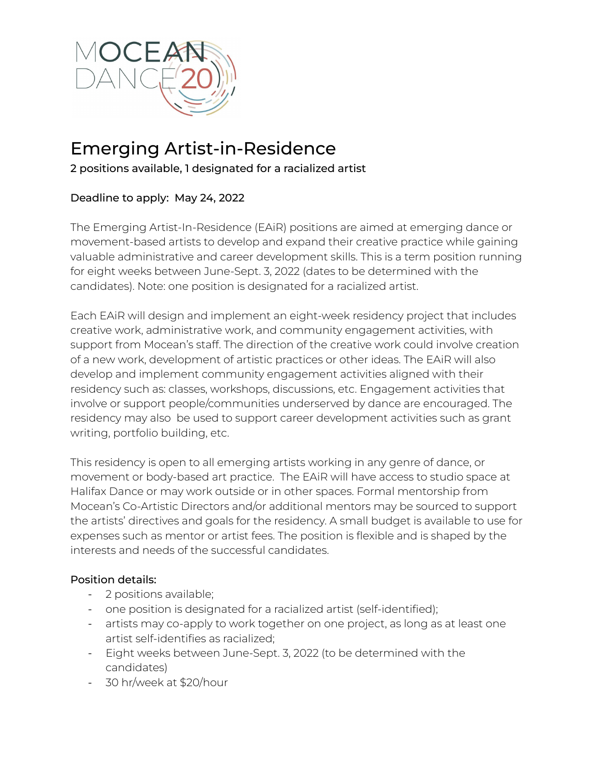

# Emerging Artist-in-Residence

2 positions available, 1 designated for a racialized artist

## Deadline to apply: May 24, 2022

The Emerging Artist-In-Residence (EAiR) positions are aimed at emerging dance or movement-based artists to develop and expand their creative practice while gaining valuable administrative and career development skills. This is a term position running for eight weeks between June-Sept. 3, 2022 (dates to be determined with the candidates). Note: one position is designated for a racialized artist.

Each EAiR will design and implement an eight-week residency project that includes creative work, administrative work, and community engagement activities, with support from Mocean's staff. The direction of the creative work could involve creation of a new work, development of artistic practices or other ideas. The EAiR will also develop and implement community engagement activities aligned with their residency such as: classes, workshops, discussions, etc. Engagement activities that involve or support people/communities underserved by dance are encouraged. The residency may also be used to support career development activities such as grant writing, portfolio building, etc.

This residency is open to all emerging artists working in any genre of dance, or movement or body-based art practice. The EAiR will have access to studio space at Halifax Dance or may work outside or in other spaces. Formal mentorship from Mocean's Co-Artistic Directors and/or additional mentors may be sourced to support the artists' directives and goals for the residency. A small budget is available to use for expenses such as mentor or artist fees. The position is flexible and is shaped by the interests and needs of the successful candidates.

## Position details:

- 2 positions available;
- one position is designated for a racialized artist (self-identified);
- artists may co-apply to work together on one project, as long as at least one artist self-identifies as racialized;
- Eight weeks between June-Sept. 3, 2022 (to be determined with the candidates)
- 30 hr/week at \$20/hour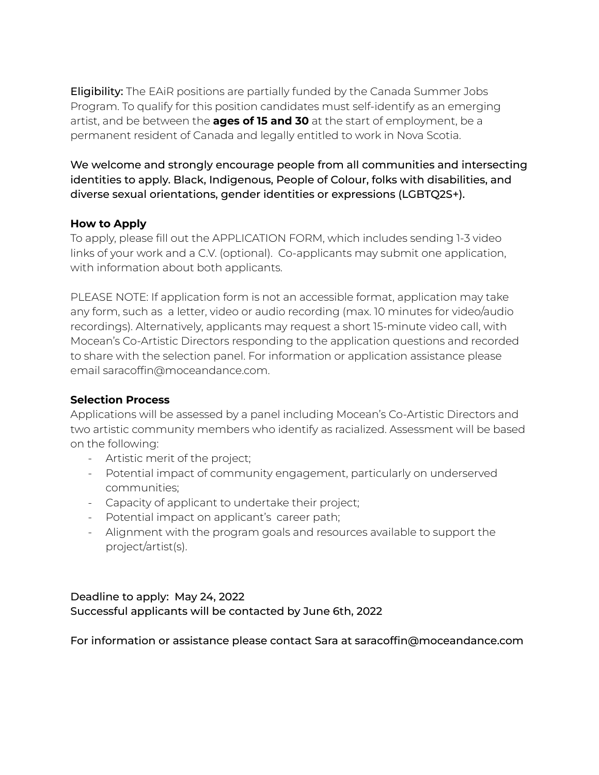Eligibility: The EAiR positions are partially funded by the Canada Summer Jobs Program. To qualify for this position candidates must self-identify as an emerging artist, and be between the **ages of 15 and 30** at the start of employment, be a permanent resident of Canada and legally entitled to work in Nova Scotia.

We welcome and strongly encourage people from all communities and intersecting identities to apply. Black, Indigenous, People of Colour, folks with disabilities, and diverse sexual orientations, gender identities or expressions (LGBTQ2S+).

## **How to Apply**

To apply, please fill out the APPLICATION FORM, which includes sending 1-3 video links of your work and a C.V. (optional). Co-applicants may submit one application, with information about both applicants.

PLEASE NOTE: If application form is not an accessible format, application may take any form, such as a letter, video or audio recording (max. 10 minutes for video/audio recordings). Alternatively, applicants may request a short 15-minute video call, with Mocean's Co-Artistic Directors responding to the application questions and recorded to share with the selection panel. For information or application assistance please email saracoffin@moceandance.com.

#### **Selection Process**

Applications will be assessed by a panel including Mocean's Co-Artistic Directors and two artistic community members who identify as racialized. Assessment will be based on the following:

- Artistic merit of the project;
- Potential impact of community engagement, particularly on underserved communities;
- Capacity of applicant to undertake their project;
- Potential impact on applicant's career path;
- Alignment with the program goals and resources available to support the project/artist(s).

## Deadline to apply: May 24, 2022 Successful applicants will be contacted by June 6th, 2022

For information or assistance please contact Sara at saracoffin@moceandance.com